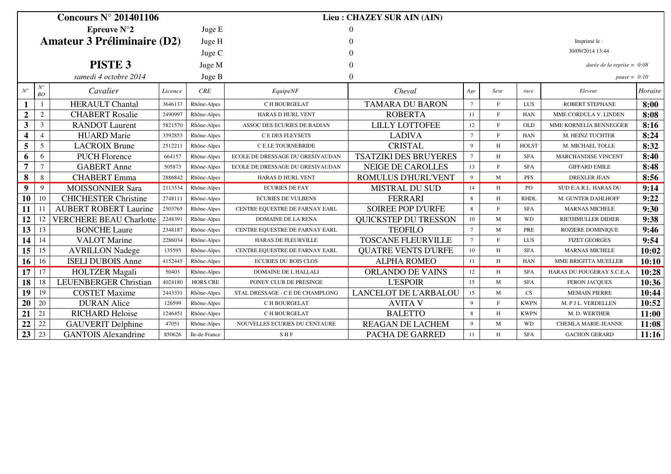| Concours $N^{\circ}$ 201401106     |                   |                                |         |                 | Lieu: CHAZEY SUR AIN (AIN)       |                              |                 |              |              |                              |         |
|------------------------------------|-------------------|--------------------------------|---------|-----------------|----------------------------------|------------------------------|-----------------|--------------|--------------|------------------------------|---------|
| Epreuve $N^{\circ}2$               |                   |                                |         | Juge E          |                                  |                              |                 |              |              |                              |         |
| <b>Amateur 3 Préliminaire (D2)</b> |                   |                                |         | Juge H          |                                  |                              |                 |              |              | Imprimé le:                  |         |
|                                    |                   |                                | Juge C  |                 |                                  | 30/09/2014 13:44             |                 |              |              |                              |         |
|                                    |                   | PISTE <sub>3</sub>             |         | Juge M          |                                  |                              |                 |              |              | durée de la reprise = $0:08$ |         |
|                                    |                   |                                |         |                 |                                  |                              |                 |              |              |                              |         |
|                                    |                   | samedi 4 octobre 2014          |         | Juge B          |                                  |                              |                 |              |              | $pause = 0:10$               |         |
| $N^{\circ}$                        | $N^{\circ}$<br>BO | Cavalier                       | Licence | CRE             | EquipeNF                         | Cheval                       | Age             | Sexe         | race         | Eleveur                      | Horaire |
| 1                                  |                   | <b>HERAULT Chantal</b>         | 3646137 | Rhône-Alpes     | C H BOURGELAT                    | <b>TAMARA DU BARON</b>       | $7\phantom{.0}$ | $\mathbf{F}$ | LUS          | <b>ROBERT STEPHANE</b>       | 8:00    |
| $\boldsymbol{2}$                   | $\sqrt{2}$        | <b>CHABERT Rosalie</b>         | 2490997 | Rhône-Alpes     | <b>HARAS D HURL VENT</b>         | <b>ROBERTA</b>               | -11             | F            | <b>HAN</b>   | MME CORDULA V. LINDEN        | 8:08    |
| $\mathbf{3}$                       | 3                 | <b>RANDOT</b> Laurent          | 5821570 | Rhône-Alpes     | ASSOC DES ECURIES DE BADIAN      | <b>LILLY LOTTOFEE</b>        | 12              | F            | <b>OLD</b>   | MME KORNELIA BENNEGGER       | 8:16    |
| 4                                  | $\overline{4}$    | <b>HUARD</b> Marie             | 3592853 | Rhône-Alpes     | <b>CEDES FLEYSETS</b>            | <b>LADIVA</b>                | $7\phantom{.0}$ | $\mathbf{F}$ | <b>HAN</b>   | M. HEINZ TUCHTER             | 8:24    |
| 5                                  | 5                 | <b>LACROIX Brune</b>           | 2512211 | Rhône-Alpes     | <b>CELETOURNEBRIDE</b>           | <b>CRISTAL</b>               | 9               | H            | <b>HOLST</b> | M. MICHAEL TOLLE             | 8:32    |
| 6                                  | 6                 | <b>PUCH Florence</b>           | 664157  | Rhône-Alpes     | ECOLE DE DRESSAGE DU GRESIVAUDAN | <b>TSATZIKI DES BRUYERES</b> | $7\phantom{.0}$ | H            | <b>SFA</b>   | <b>MARCHANDISE VINCENT</b>   | 8:40    |
| $\overline{7}$                     | $\overline{7}$    | <b>GABERT</b> Anne             | 505873  | Rhône-Alpes     | ECOLE DE DRESSAGE DU GRESIVAUDAN | <b>NEIGE DE CAROLLES</b>     | 13              | $\mathbf{F}$ | <b>SFA</b>   | <b>GIFFARD EMILE</b>         | 8:48    |
| 8                                  | 8                 | <b>CHABERT</b> Emma            | 2886842 | Rhône-Alpes     | <b>HARAS D HURL VENT</b>         | ROMULUS D'HURL'VENT          | 9               | M            | <b>PFS</b>   | <b>DREXLER JEAN</b>          | 8:56    |
| 9                                  | 9                 | <b>MOISSONNIER Sara</b>        | 2113534 | Rhône-Alpes     | <b>ECURIES DE FAY</b>            | <b>MISTRAL DU SUD</b>        | 14              | H            | PO           | SUD E.A.R.L. HARAS DU        | 9:14    |
| 10                                 | 10                | <b>CHICHESTER Christine</b>    | 2748111 | Rhône-Alpes     | <b>ECURIES DE VULBENS</b>        | <b>FERRARI</b>               | 8               | H            | <b>RHDL</b>  | M. GUNTER DAHLHOFF           | 9:22    |
| 11                                 | -11               | <b>AUBERT ROBERT Laurine</b>   | 2503765 | Rhône-Alpes     | CENTRE EQUESTRE DE FARNAY EARL   | <b>SOIREE POP D'URFE</b>     | 8               | F            | <b>SFA</b>   | <b>MARNAS MICHELE</b>        | 9:30    |
| 12                                 | 12                | <b>VERCHERE BEAU Charlotte</b> | 2248391 | Rhône-Alpes     | <b>DOMAINE DE LA RENA</b>        | <b>OUICKSTEP DU TRESSON</b>  | 10              | M            | <b>WD</b>    | RIETHMULLER DIDIER           | 9:38    |
| 13                                 | 13                | <b>BONCHE Laure</b>            | 2348187 | Rhône-Alpes     | CENTRE EQUESTRE DE FARNAY EARL   | <b>TEOFILO</b>               | $7\phantom{.0}$ | M            | PRE          | ROZIERE DOMINIQUE            | 9:46    |
| 14                                 | 14                | <b>VALOT</b> Marine            | 2286034 | Rhône-Alpes     | HARAS DE FLEURVILLE              | <b>TOSCANE FLEURVILLE</b>    | $7\phantom{.0}$ | $\mathbf{F}$ | LUS          | <b>FIZET GEORGES</b>         | 9:54    |
| 15                                 | 15                | <b>AVRILLON Nadege</b>         | 135595  | Rhône-Alpes     | CENTRE EQUESTRE DE FARNAY EARL   | <b>QUATRE VENTS D'URFE</b>   | 10              | H            | <b>SFA</b>   | <b>MARNAS MICHELE</b>        | 10:02   |
| 16                                 | 16                | <b>ISELI DUBOIS Anne</b>       | 4152445 | Rhône-Alpes     | <b>ECURIES DU BOIS CLOS</b>      | <b>ALPHA ROMEO</b>           | 11              | H            | <b>HAN</b>   | MME BRIGITTA MUELLER         | 10:10   |
| 17                                 | 17                | <b>HOLTZER</b> Magali          | 50403   | Rhône-Alpes     | <b>DOMAINE DE L HALLALI</b>      | <b>ORLANDO DE VAINS</b>      | 12              | H            | <b>SFA</b>   | HARAS DU FOUGERAY S.C.E.A.   | 10:28   |
| 18                                 | 18                | <b>LEUENBERGER Christian</b>   | 4024180 | <b>HORS CRE</b> | PONEY CLUB DE PRESINGE           | <b>L'ESPOIR</b>              | 15              | M            | <b>SFA</b>   | <b>FERON JACQUES</b>         | 10:36   |
| 19                                 | 19                | <b>COSTET Maxime</b>           | 2443331 | Rhône-Alpes     | STAL DRESSAGE - C E DE CHAMPLONG | <b>LANCELOT DE L'ARBALOU</b> | 15              | M            | CS           | <b>MEMAIN PIERRE</b>         | 10:44   |
| 20                                 | 20                | <b>DURAN</b> Alice             | 126599  | Rhône-Alpes     | C H BOURGELAT                    | <b>AVITA V</b>               | 9               | $\mathbf{F}$ | <b>KWPN</b>  | M. P J L. VERDELLEN          | 10:52   |
| 21                                 | 21                | <b>RICHARD Heloise</b>         | 1246451 | Rhône-Alpes     | C H BOURGELAT                    | <b>BALETTO</b>               | 8               | H            | <b>KWPN</b>  | M. D. WERTHER                | 11:00   |
| 22                                 | $22\,$            | <b>GAUVERIT Delphine</b>       | 47051   | Rhône-Alpes     | NOUVELLES ECURIES DU CENTAURE    | <b>REAGAN DE LACHEM</b>      | 9               | M            | <b>WD</b>    | <b>CHEMLA MARIE-JEANNE</b>   | 11:08   |
| 23                                 | 23                | <b>GANTOIS Alexandrine</b>     | 850626  | Ile-de-France   | <b>SHF</b>                       | PACHA DE GARRED              | 11              | H            | <b>SFA</b>   | <b>GACHON GERARD</b>         | 11:16   |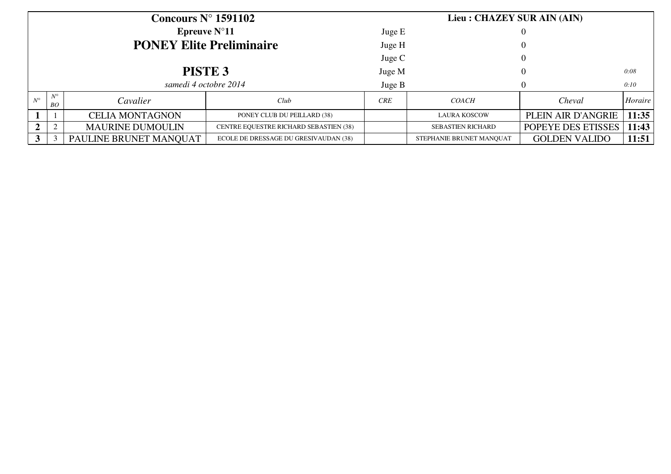|             |                   | Concours $N^{\circ}$ 1591102    |                                        | Lieu : CHAZEY SUR AIN (AIN) |                          |                      |         |  |  |  |
|-------------|-------------------|---------------------------------|----------------------------------------|-----------------------------|--------------------------|----------------------|---------|--|--|--|
|             |                   | Epreuve $N^{\circ}11$           |                                        | Juge E                      |                          |                      |         |  |  |  |
|             |                   | <b>PONEY Elite Preliminaire</b> |                                        | Juge H                      |                          |                      |         |  |  |  |
|             |                   |                                 |                                        | Juge $C$                    |                          |                      |         |  |  |  |
|             |                   | PISTE <sub>3</sub>              |                                        | Juge M                      |                          |                      | 0:08    |  |  |  |
|             |                   | samedi 4 octobre 2014           |                                        | Juge B                      |                          |                      | 0:10    |  |  |  |
| $N^{\circ}$ | $N^{\circ}$<br>BO | Cavalier                        | Club                                   | CRE                         | <i>COACH</i>             | Cheval               | Horaire |  |  |  |
|             |                   | <b>CELIA MONTAGNON</b>          | PONEY CLUB DU PEILLARD (38)            |                             | <b>LAURA KOSCOW</b>      | PLEIN AIR D'ANGRIE   | 11:35   |  |  |  |
|             | $\sim$            | <b>MAURINE DUMOULIN</b>         | CENTRE EQUESTRE RICHARD SEBASTIEN (38) |                             | <b>SEBASTIEN RICHARD</b> | POPEYE DES ETISSES   | 11:43   |  |  |  |
|             |                   | PAULINE BRUNET MANQUAT          | ECOLE DE DRESSAGE DU GRESIVAUDAN (38)  |                             | STEPHANIE BRUNET MANOUAT | <b>GOLDEN VALIDO</b> | 11:51   |  |  |  |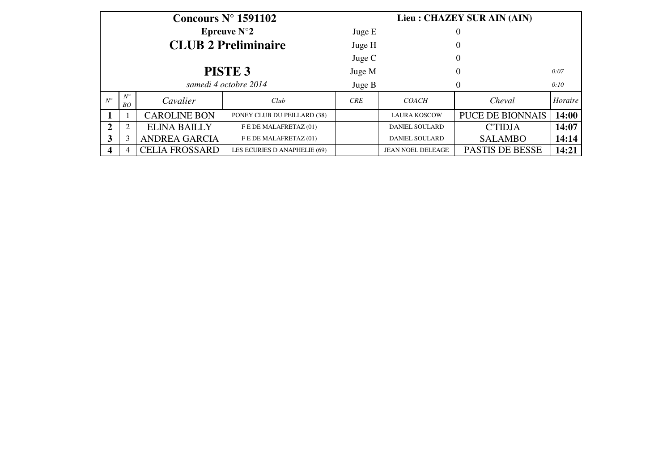|             |                   |                       | Concours $N^{\circ}$ 1591102 | Lieu : CHAZEY SUR AIN (AIN) |                          |                         |         |  |  |  |  |
|-------------|-------------------|-----------------------|------------------------------|-----------------------------|--------------------------|-------------------------|---------|--|--|--|--|
|             |                   |                       | <b>Epreuve N°2</b>           | Juge E                      |                          | 0                       |         |  |  |  |  |
|             |                   |                       | <b>CLUB 2 Preliminaire</b>   | Juge H                      |                          | $\overline{0}$          |         |  |  |  |  |
|             |                   |                       |                              | Juge $C$                    |                          | $\overline{0}$          |         |  |  |  |  |
|             |                   |                       | <b>PISTE 3</b>               | Juge M                      |                          | $\theta$                | 0:07    |  |  |  |  |
|             |                   |                       | samedi 4 octobre 2014        | Juge B                      |                          | $\Omega$                | 0:10    |  |  |  |  |
| $N^{\circ}$ | $N^{\circ}$<br>BO | Cavalier              | Club                         | <b>CRE</b>                  | <b>COACH</b>             | Cheval                  | Horaire |  |  |  |  |
|             |                   | <b>CAROLINE BON</b>   | PONEY CLUB DU PEILLARD (38)  |                             | <b>LAURA KOSCOW</b>      | <b>PUCE DE BIONNAIS</b> | 14:00   |  |  |  |  |
| 2           | $\overline{2}$    | <b>ELINA BAILLY</b>   | F E DE MALAFRETAZ (01)       |                             | <b>DANIEL SOULARD</b>    | <b>C'TIDJA</b>          | 14:07   |  |  |  |  |
| 3           | 3                 | <b>ANDREA GARCIA</b>  | F E DE MALAFRETAZ (01)       |                             | <b>DANIEL SOULARD</b>    | <b>SALAMBO</b>          | 14:14   |  |  |  |  |
| 4           | $\overline{4}$    | <b>CELIA FROSSARD</b> | LES ECURIES D ANAPHELIE (69) |                             | <b>JEAN NOEL DELEAGE</b> | <b>PASTIS DE BESSE</b>  | 14:21   |  |  |  |  |